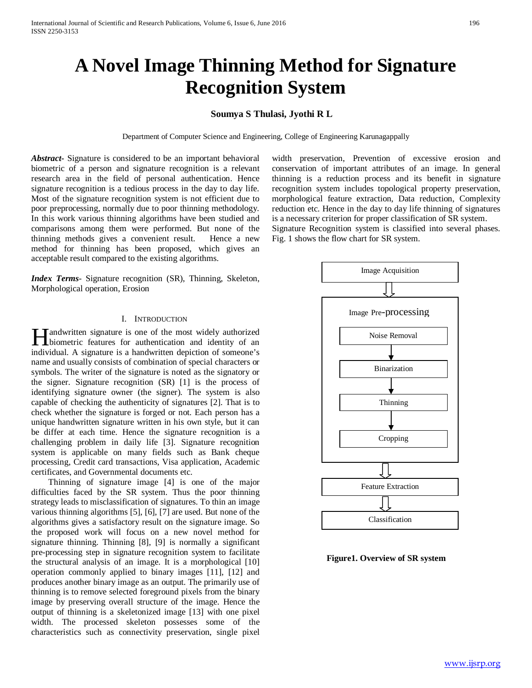# **A Novel Image Thinning Method for Signature Recognition System**

## **Soumya S Thulasi, Jyothi R L**

Department of Computer Science and Engineering, College of Engineering Karunagappally

*Abstract***-** Signature is considered to be an important behavioral biometric of a person and signature recognition is a relevant research area in the field of personal authentication. Hence signature recognition is a tedious process in the day to day life. Most of the signature recognition system is not efficient due to poor preprocessing, normally due to poor thinning methodology. In this work various thinning algorithms have been studied and comparisons among them were performed. But none of the thinning methods gives a convenient result. Hence a new method for thinning has been proposed, which gives an acceptable result compared to the existing algorithms.

*Index Terms*- Signature recognition (SR), Thinning, Skeleton, Morphological operation, Erosion

## I. INTRODUCTION

andwritten signature is one of the most widely authorized **H**andwritten signature is one of the most widely authorized<br>biometric features for authentication and identity of an individual. A signature is a handwritten depiction of someone's name and usually consists of combination of special characters or symbols. The writer of the signature is noted as the signatory or the signer. Signature recognition (SR) [1] is the process of identifying signature owner (the signer). The system is also capable of checking the authenticity of signatures [2]. That is to check whether the signature is forged or not. Each person has a unique handwritten signature written in his own style, but it can be differ at each time. Hence the signature recognition is a challenging problem in daily life [3]. Signature recognition system is applicable on many fields such as Bank cheque processing, Credit card transactions, Visa application, Academic certificates, and Governmental documents etc.

 Thinning of signature image [4] is one of the major difficulties faced by the SR system. Thus the poor thinning strategy leads to misclassification of signatures. To thin an image various thinning algorithms [5], [6], [7] are used. But none of the algorithms gives a satisfactory result on the signature image. So the proposed work will focus on a new novel method for signature thinning. Thinning [8], [9] is normally a significant pre-processing step in signature recognition system to facilitate the structural analysis of an image. It is a morphological [10] operation commonly applied to binary images [11], [12] and produces another binary image as an output. The primarily use of thinning is to remove selected foreground pixels from the binary image by preserving overall structure of the image. Hence the output of thinning is a skeletonized image [13] with one pixel width. The processed skeleton possesses some of the characteristics such as connectivity preservation, single pixel width preservation, Prevention of excessive erosion and conservation of important attributes of an image. In general thinning is a reduction process and its benefit in signature recognition system includes topological property preservation, morphological feature extraction, Data reduction, Complexity reduction etc. Hence in the day to day life thinning of signatures is a necessary criterion for proper classification of SR system. Signature Recognition system is classified into several phases. Fig. 1 shows the flow chart for SR system.



**Figure1. Overview of SR system**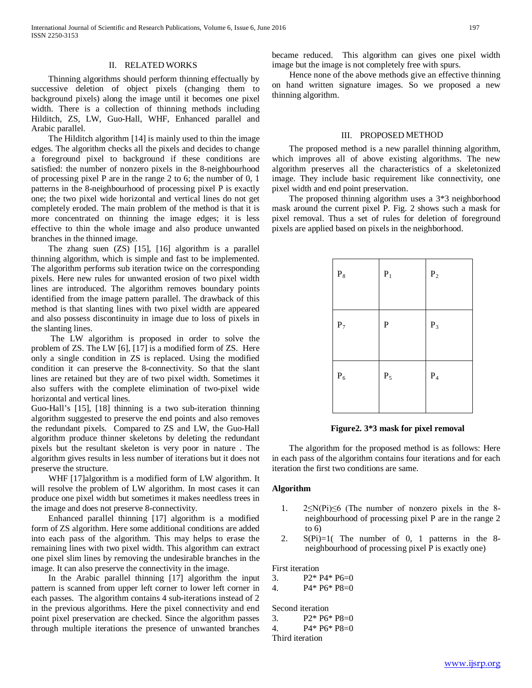#### II. RELATED WORKS

 Thinning algorithms should perform thinning effectually by successive deletion of object pixels (changing them to background pixels) along the image until it becomes one pixel width. There is a collection of thinning methods including Hilditch, ZS, LW, Guo-Hall, WHF, Enhanced parallel and Arabic parallel.

 The Hilditch algorithm [14] is mainly used to thin the image edges. The algorithm checks all the pixels and decides to change a foreground pixel to background if these conditions are satisfied: the number of nonzero pixels in the 8-neighbourhood of processing pixel P are in the range 2 to 6; the number of 0, 1 patterns in the 8-neighbourhood of processing pixel P is exactly one; the two pixel wide horizontal and vertical lines do not get completely eroded. The main problem of the method is that it is more concentrated on thinning the image edges; it is less effective to thin the whole image and also produce unwanted branches in the thinned image.

 The zhang suen (ZS) [15], [16] algorithm is a parallel thinning algorithm, which is simple and fast to be implemented. The algorithm performs sub iteration twice on the corresponding pixels. Here new rules for unwanted erosion of two pixel width lines are introduced. The algorithm removes boundary points identified from the image pattern parallel. The drawback of this method is that slanting lines with two pixel width are appeared and also possess discontinuity in image due to loss of pixels in the slanting lines.

 The LW algorithm is proposed in order to solve the problem of ZS. The LW [6], [17] is a modified form of ZS. Here only a single condition in ZS is replaced. Using the modified condition it can preserve the 8-connectivity. So that the slant lines are retained but they are of two pixel width. Sometimes it also suffers with the complete elimination of two-pixel wide horizontal and vertical lines.

Guo-Hall's [15], [18] thinning is a two sub-iteration thinning algorithm suggested to preserve the end points and also removes the redundant pixels. Compared to ZS and LW, the Guo-Hall algorithm produce thinner skeletons by deleting the redundant pixels but the resultant skeleton is very poor in nature . The algorithm gives results in less number of iterations but it does not preserve the structure.

WHF [17]algorithm is a modified form of LW algorithm. It will resolve the problem of LW algorithm. In most cases it can produce one pixel width but sometimes it makes needless trees in the image and does not preserve 8-connectivity.

 Enhanced parallel thinning [17] algorithm is a modified form of ZS algorithm. Here some additional conditions are added into each pass of the algorithm. This may helps to erase the remaining lines with two pixel width. This algorithm can extract one pixel slim lines by removing the undesirable branches in the image. It can also preserve the connectivity in the image.

 In the Arabic parallel thinning [17] algorithm the input pattern is scanned from upper left corner to lower left corner in each passes. The algorithm contains 4 sub-iterations instead of 2 in the previous algorithms. Here the pixel connectivity and end point pixel preservation are checked. Since the algorithm passes through multiple iterations the presence of unwanted branches

became reduced. This algorithm can gives one pixel width image but the image is not completely free with spurs.

 Hence none of the above methods give an effective thinning on hand written signature images. So we proposed a new thinning algorithm.

#### III. PROPOSED METHOD

 The proposed method is a new parallel thinning algorithm, which improves all of above existing algorithms. The new algorithm preserves all the characteristics of a skeletonized image. They include basic requirement like connectivity, one pixel width and end point preservation.

 The proposed thinning algorithm uses a 3\*3 neighborhood mask around the current pixel P. Fig. 2 shows such a mask for pixel removal. Thus a set of rules for deletion of foreground pixels are applied based on pixels in the neighborhood.

| $\mathbf{P}_8$ | $\mathbf{P}_1$ | $\mathbf{P}_2$ |
|----------------|----------------|----------------|
|                |                |                |
| $\mathbf{P}_7$ | ${\bf P}$      | $P_3$          |
|                |                |                |
| $\mathbf{P}_6$ | $\mathbf{P}_5$ | $\mathbf{P}_4$ |
|                |                |                |

 **Figure2. 3\*3 mask for pixel removal**

 The algorithm for the proposed method is as follows: Here in each pass of the algorithm contains four iterations and for each iteration the first two conditions are same.

## **Algorithm**

- 1. 2≤N(Pi)≤6 (The number of nonzero pixels in the 8 neighbourhood of processing pixel P are in the range 2 to  $6)$
- 2.  $S(Pi)=1$  The number of 0, 1 patterns in the 8neighbourhood of processing pixel P is exactly one)

## First iteration

3.  $P2* P4* P6=0$ 4. P4\* P6\* P8=0

Second iteration

3. P2\* P6\* P8=0 4. P4\* P6\* P8=0 Third iteration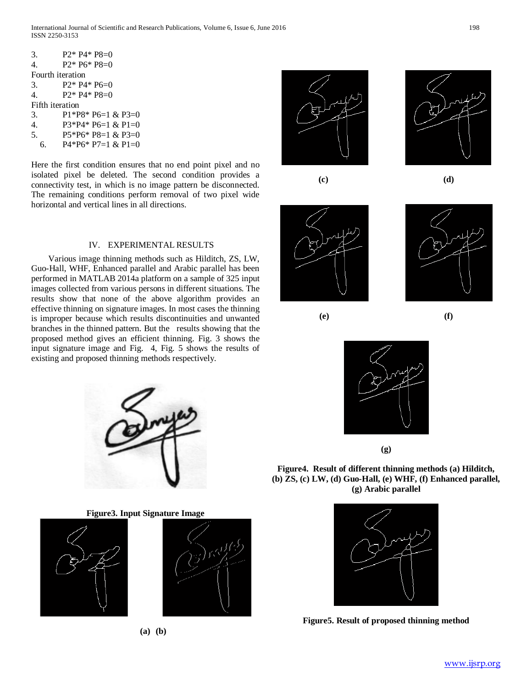International Journal of Scientific and Research Publications, Volume 6, Issue 6, June 2016 198 ISSN 2250-3153

| 3.               | $P2* P4* P8=0$      |  |
|------------------|---------------------|--|
| 4.               | $P2* P6* P8=0$      |  |
| Fourth iteration |                     |  |
| 3.               | $P2* P4* P6=0$      |  |
| 4                | $P2* P4* P8=0$      |  |
| Fifth iteration  |                     |  |
| 3.               | $P1*P8*P6=1 & P3=0$ |  |
| $\overline{4}$ . | $P3*P4*P6=1 & P1=0$ |  |
| 5.               | $P5*P6*P8=1 & P3=0$ |  |
| 6.               | $P4*P6*P7=1 & P1=0$ |  |
|                  |                     |  |

Here the first condition ensures that no end point pixel and no isolated pixel be deleted. The second condition provides a connectivity test, in which is no image pattern be disconnected. The remaining conditions perform removal of two pixel wide horizontal and vertical lines in all directions.

## IV. EXPERIMENTAL RESULTS

 Various image thinning methods such as Hilditch, ZS, LW, Guo-Hall, WHF, Enhanced parallel and Arabic parallel has been performed in MATLAB 2014a platform on a sample of 325 input images collected from various persons in different situations. The results show that none of the above algorithm provides an effective thinning on signature images. In most cases the thinning is improper because which results discontinuities and unwanted branches in the thinned pattern. But the results showing that the proposed method gives an efficient thinning. Fig. 3 shows the input signature image and Fig. 4, Fig. 5 shows the results of existing and proposed thinning methods respectively.



**Figure3. Input Signature Image**



**(a) (b)**

















**(g)**

**Figure4. Result of different thinning methods (a) Hilditch, (b) ZS, (c) LW, (d) Guo-Hall, (e) WHF, (f) Enhanced parallel, (g) Arabic parallel**



**Figure5. Result of proposed thinning method**